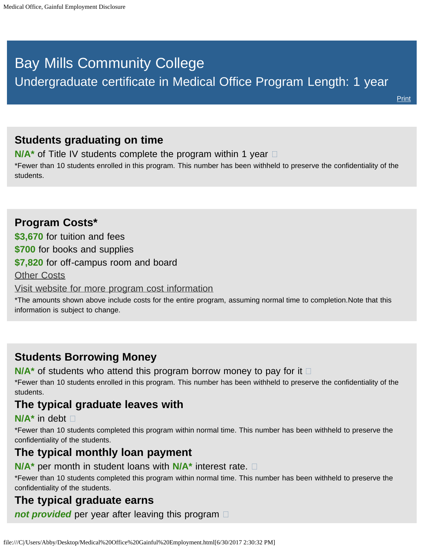# <span id="page-0-0"></span>Bay Mills Community College Undergraduate certificate in Medical Office Program Length: 1 year

## **Students graduating on time**

**N/A<sup>\*</sup>** of Title IV students complete the program within 1 year  $\Box$ 

\*Fewer than 10 students enrolled in this program. This number has been withheld to preserve the confidentiality of the students.

## **Program Costs\* \$3,670** for tuition and fees **\$700** for books and supplies **\$7,820** for off-campus room and board [Other Costs](#page-0-0) [Visit website for more program cost information](http://bmcc.edu/admissions/financial-aid/understanding-tuition)

\*The amounts shown above include costs for the entire program, assuming normal time to completion.Note that this information is subject to change.

## **Students Borrowing Money**

**N/A<sup>\*</sup>** of students who attend this program borrow money to pay for it  $\Box$ 

\*Fewer than 10 students enrolled in this program. This number has been withheld to preserve the confidentiality of the students.

## **The typical graduate leaves with**

#### **N/A\*** in debt

\*Fewer than 10 students completed this program within normal time. This number has been withheld to preserve the confidentiality of the students.

### **The typical monthly loan payment**

**N/A\*** per month in student loans with **N/A\*** interest rate.

\*Fewer than 10 students completed this program within normal time. This number has been withheld to preserve the confidentiality of the students.

## **The typical graduate earns**

*not provided* per year after leaving this program  $\Box$